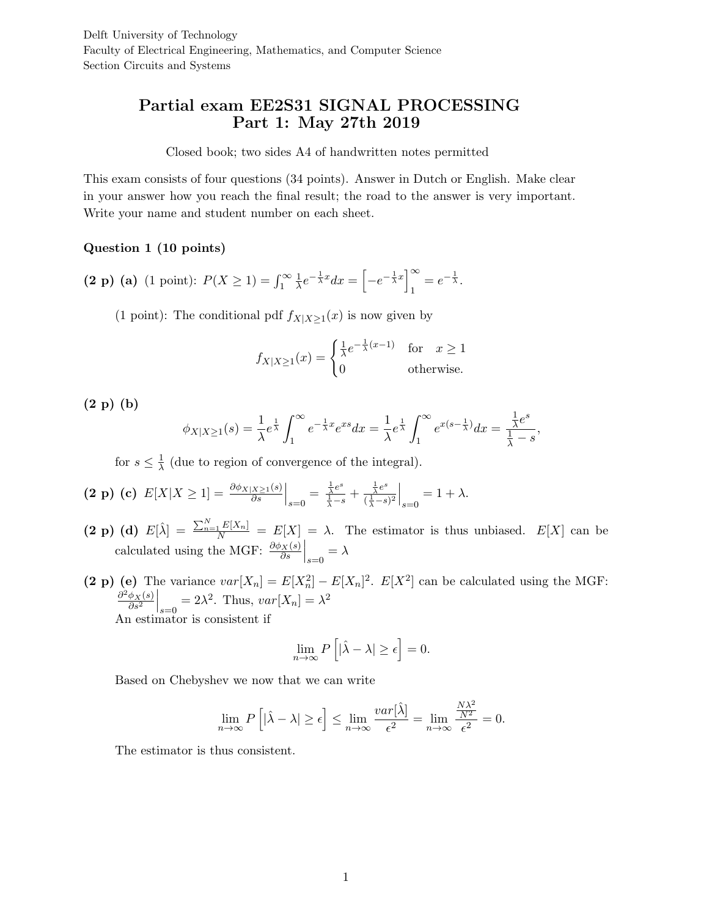# Partial exam EE2S31 SIGNAL PROCESSING Part 1: May 27th 2019

Closed book; two sides A4 of handwritten notes permitted

This exam consists of four questions (34 points). Answer in Dutch or English. Make clear in your answer how you reach the final result; the road to the answer is very important. Write your name and student number on each sheet.

## Question 1 (10 points)

(2 p) (a) (1 point):  $P(X \ge 1) = \int_1^\infty$ 1  $\frac{1}{\lambda}e^{-\frac{1}{\lambda}x}dx = \left[-e^{-\frac{1}{\lambda}x}\right]_1^{\infty}$  $\frac{\infty}{1} = e^{-\frac{1}{\lambda}}.$ 

(1 point): The conditional pdf  $f_{X|X\geq 1}(x)$  is now given by

$$
f_{X|X\geq 1}(x) = \begin{cases} \frac{1}{\lambda} e^{-\frac{1}{\lambda}(x-1)} & \text{for } x \geq 1\\ 0 & \text{otherwise.} \end{cases}
$$

(2 p) (b)

$$
\phi_{X|X\geq 1}(s) = \frac{1}{\lambda}e^{\frac{1}{\lambda}}\int_1^\infty e^{-\frac{1}{\lambda}x}e^{xs}dx = \frac{1}{\lambda}e^{\frac{1}{\lambda}}\int_1^\infty e^{x(s-\frac{1}{\lambda})}dx = \frac{\frac{1}{\lambda}e^s}{\frac{1}{\lambda}-s},
$$

for  $s \leq \frac{1}{\lambda}$  $\frac{1}{\lambda}$  (due to region of convergence of the integral).

$$
(2 \text{ p}) (c) E[X|X \ge 1] = \frac{\partial \phi_{X|X \ge 1}(s)}{\partial s} \Big|_{s=0} = \frac{\frac{1}{\lambda}e^s}{\frac{1}{\lambda} - s} + \frac{\frac{1}{\lambda}e^s}{(\frac{1}{\lambda} - s)^2} \Big|_{s=0} = 1 + \lambda.
$$

- (2 p) (d)  $E[\hat{\lambda}] = \frac{\sum_{n=1}^{N} E[X_n]}{N} = E[X] = \lambda$ . The estimator is thus unbiased.  $E[X]$  can be calculated using the MGF:  $\frac{\partial \phi_X(s)}{\partial s}\Big|_{s=0} = \lambda$
- (2 p) (e) The variance  $var[X_n] = E[X_n^2] E[X_n]^2$ .  $E[X^2]$  can be calculated using the MGF:  $\partial^2 \phi_X(s)$  $\overline{\partial s^2}$  $\Big|_{s=0} = 2\lambda^2$ . Thus,  $var[X_n] = \lambda^2$ An estimator is consistent if

$$
\lim_{n \to \infty} P\left[|\hat{\lambda} - \lambda| \ge \epsilon\right] = 0.
$$

Based on Chebyshev we now that we can write

$$
\lim_{n \to \infty} P\left[|\hat{\lambda} - \lambda| \ge \epsilon\right] \le \lim_{n \to \infty} \frac{var[\hat{\lambda}]}{\epsilon^2} = \lim_{n \to \infty} \frac{\frac{N\lambda^2}{N^2}}{\epsilon^2} = 0.
$$

The estimator is thus consistent.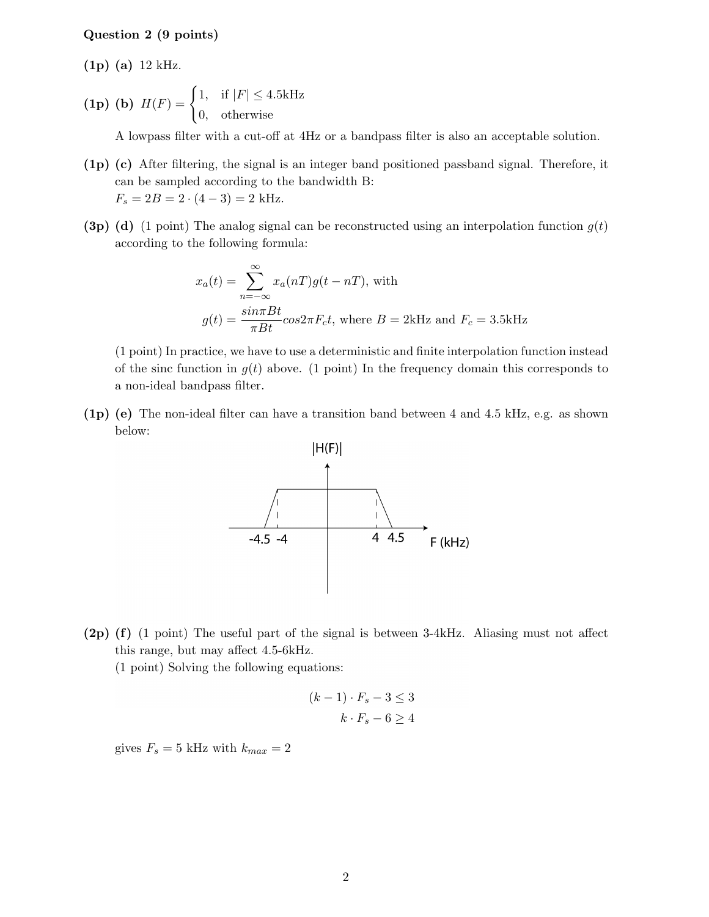#### Question 2 (9 points)

(1p) (a) 12 kHz.

(1p) (b)  $H(F) = \begin{cases} 1, & \text{if } |F| \leq 4.5 \text{kHz} \end{cases}$ 0, otherwise

A lowpass filter with a cut-off at 4Hz or a bandpass filter is also an acceptable solution.

- (1p) (c) After filtering, the signal is an integer band positioned passband signal. Therefore, it can be sampled according to the bandwidth B:  $F_s = 2B = 2 \cdot (4 - 3) = 2$  kHz.
- (3p) (d) (1 point) The analog signal can be reconstructed using an interpolation function  $g(t)$ according to the following formula:

$$
x_a(t) = \sum_{n = -\infty}^{\infty} x_a(nT)g(t - nT)
$$
, with  

$$
g(t) = \frac{\sin(\pi Bt)}{\pi B t} \cos(2\pi F_c t)
$$
, where  $B = 2k$  and  $F_c = 3.5k$  Hz

(1 point) In practice, we have to use a deterministic and finite interpolation function instead of the sinc function in  $q(t)$  above. (1 point) In the frequency domain this corresponds to a non-ideal bandpass filter.

(1p) (e) The non-ideal filter can have a transition band between 4 and 4.5 kHz, e.g. as shown below:



(2p) (f) (1 point) The useful part of the signal is between 3-4kHz. Aliasing must not affect this range, but may affect 4.5-6kHz.

(1 point) Solving the following equations:

$$
(k-1) \cdot F_s - 3 \le 3
$$

$$
k \cdot F_s - 6 \ge 4
$$

gives  $F_s = 5$  kHz with  $k_{max} = 2$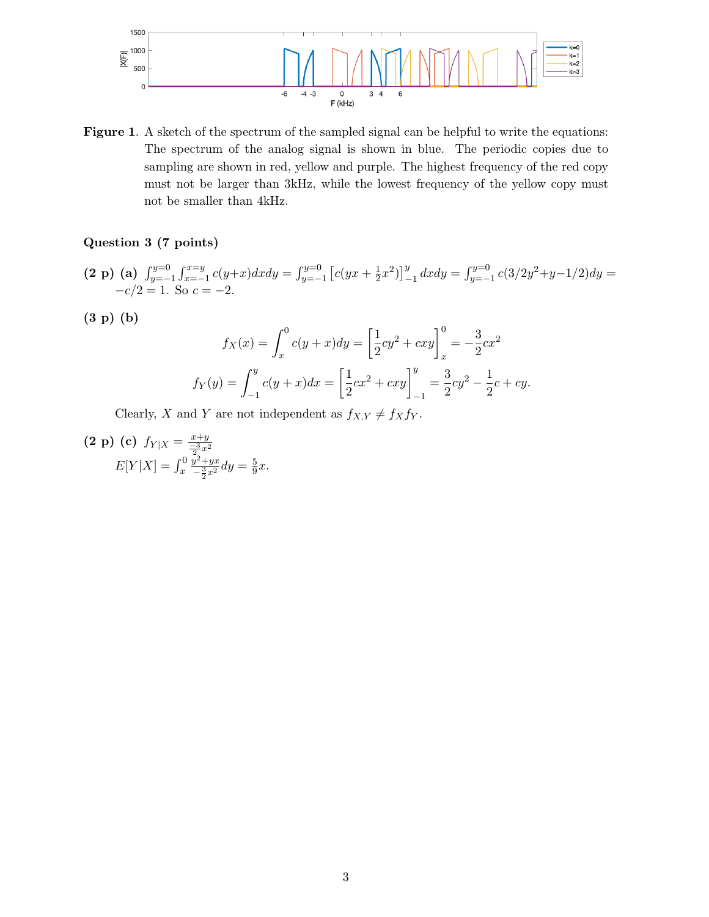

Figure 1. A sketch of the spectrum of the sampled signal can be helpful to write the equations: The spectrum of the analog signal is shown in blue. The periodic copies due to sampling are shown in red, yellow and purple. The highest frequency of the red copy must not be larger than 3kHz, while the lowest frequency of the yellow copy must not be smaller than 4kHz.

# Question 3 (7 points)

$$
(2 \text{ p}) \text{ (a)} \int_{y=-1}^{y=0} \int_{x=-1}^{x=y} c(y+x) dx dy = \int_{y=-1}^{y=0} \left[ c(yx + \frac{1}{2}x^2) \right]_{-1}^{y} dx dy = \int_{y=-1}^{y=0} c(3/2y^2 + y - 1/2) dy = -c/2 = 1.
$$
 So  $c = -2$ .

(3 p) (b)

$$
f_X(x) = \int_x^0 c(y+x) dy = \left[\frac{1}{2}cy^2 + cxy\right]_x^0 = -\frac{3}{2}cx^2
$$
  

$$
f_Y(y) = \int_{-1}^y c(y+x) dx = \left[\frac{1}{2}cx^2 + cxy\right]_{-1}^y = \frac{3}{2}cy^2 - \frac{1}{2}c + cy.
$$

Clearly, X and Y are not independent as  $f_{X,Y} \neq f_X f_Y$ .

$$
\begin{array}{ll} \n\textbf{(2 p)} \textbf{(c)} \ f_{Y|X} = \frac{x+y}{\frac{-3}{2}x^2} \\ \nE[Y|X] = \int_x^0 \frac{y^2 + yx}{\frac{-3}{2}x^2} dy = \frac{5}{9}x. \n\end{array}
$$